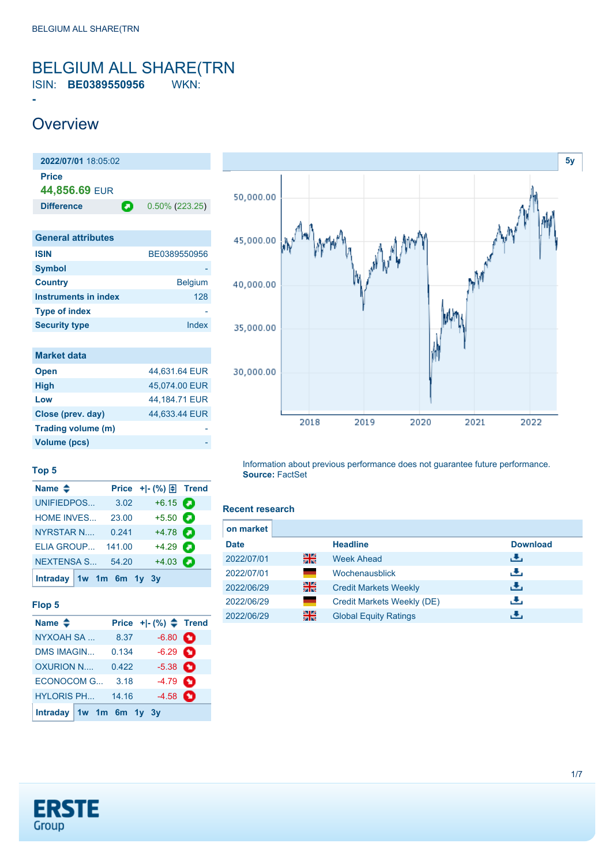### <span id="page-0-0"></span>BELGIUM ALL SHARE(TRN ISIN: **BE0389550956** WKN:

## **Overview**

**-**

**2022/07/01** 18:05:02 **Price 44,856.69** EUR **Difference 0.50% (223.25) General attributes**

| <b>ISIN</b>          | BE0389550956   |
|----------------------|----------------|
| <b>Symbol</b>        |                |
| <b>Country</b>       | <b>Belgium</b> |
| Instruments in index | 128            |
| <b>Type of index</b> |                |
| <b>Security type</b> | Index          |
|                      |                |

| <b>Market data</b> |               |
|--------------------|---------------|
| <b>Open</b>        | 44,631.64 EUR |
| <b>High</b>        | 45.074.00 EUR |
| Low                | 44,184.71 EUR |
| Close (prev. day)  | 44.633.44 EUR |
| Trading volume (m) |               |
| Volume (pcs)       |               |



#### **Top 5**

| Name $\triangleq$         |        | Price $+$ $\mid$ - $\left(\% \right)$ $\oplus$ Trend |  |
|---------------------------|--------|------------------------------------------------------|--|
| UNIFIEDPOS                | 3.02   | $+6.15$ $\odot$                                      |  |
| <b>HOME INVES</b>         | 23.00  | $+5.50$ $\Box$                                       |  |
| <b>NYRSTAR N</b>          | 0.241  | $+4.78$ $\bullet$                                    |  |
| ELIA GROUP                | 141.00 | $+4.29$                                              |  |
| <b>NEXTENSA S</b>         | 54.20  | $+4.03$                                              |  |
| Intraday $1w$ 1m 6m 1y 3y |        |                                                      |  |

#### **Flop 5**

| Name $\triangleq$         |       | Price $+$ $ (%)$ $\triangle$ Trend |  |
|---------------------------|-------|------------------------------------|--|
| <b>NYXOAH SA</b>          | 8.37  | $-6.80$ $\bullet$                  |  |
| <b>DMS IMAGIN</b>         | 0.134 | $-6.29$ $\bullet$                  |  |
| OXURION N                 | 0.422 | $-5.38$ $\bullet$                  |  |
| ECONOCOM G                | 3.18  | $-4.79$ $\bullet$                  |  |
| <b>HYLORIS PH</b>         | 14.16 | $-4.58$ $\bullet$                  |  |
| Intraday $1w$ 1m 6m 1y 3y |       |                                    |  |

Information about previous performance does not guarantee future performance. **Source:** FactSet

#### **Recent research**

| on market   |     |                              |                 |  |
|-------------|-----|------------------------------|-----------------|--|
| <b>Date</b> |     | <b>Headline</b>              | <b>Download</b> |  |
| 2022/07/01  | 을중  | <b>Week Ahead</b>            | رالى            |  |
| 2022/07/01  | a a | Wochenausblick               | رالى            |  |
| 2022/06/29  | 을중  | <b>Credit Markets Weekly</b> | رالى            |  |
| 2022/06/29  | m.  | Credit Markets Weekly (DE)   | رالى            |  |
| 2022/06/29  | 을중  | <b>Global Equity Ratings</b> |                 |  |

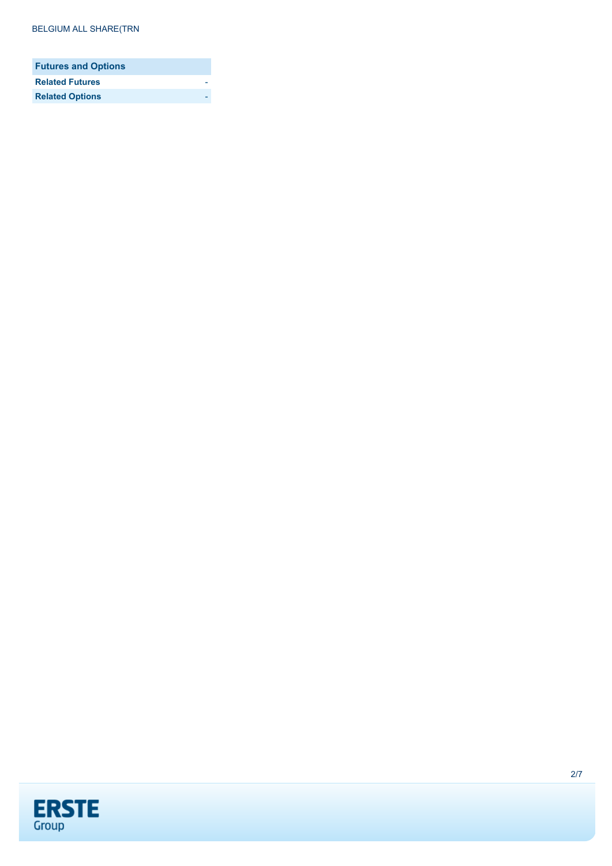| <b>Futures and Options</b> |  |
|----------------------------|--|
| <b>Related Futures</b>     |  |
| <b>Related Options</b>     |  |

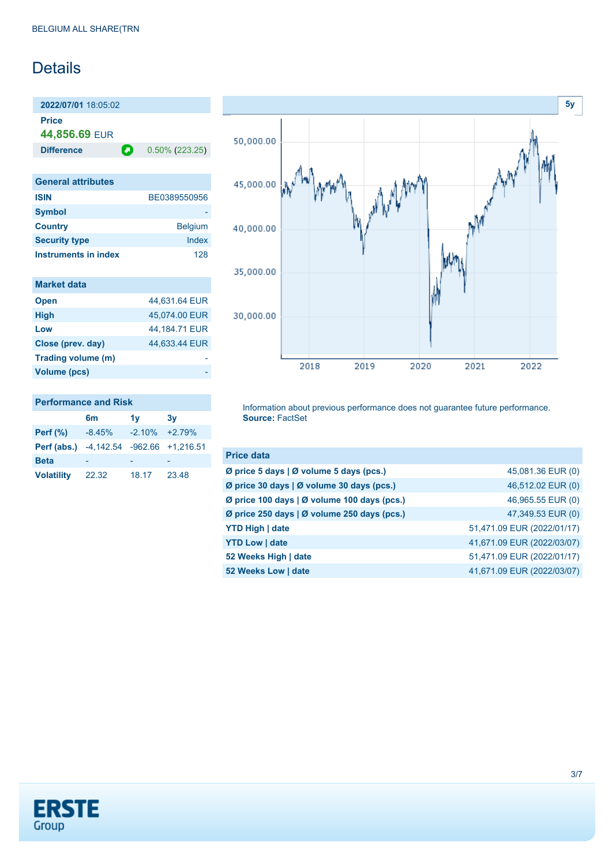## **Details**

**2022/07/01** 18:05:02

**Price**

**44,856.69** EUR

**Difference 0.50% (223.25)** 

| <b>General attributes</b> |                |
|---------------------------|----------------|
| <b>ISIN</b>               | BE0389550956   |
| <b>Symbol</b>             |                |
| <b>Country</b>            | <b>Belgium</b> |
| <b>Security type</b>      | Index          |
| Instruments in index      | 128            |

| <b>Market data</b> |  |  |  |
|--------------------|--|--|--|
|                    |  |  |  |
|                    |  |  |  |

| 44,631.64 EUR |
|---------------|
| 45,074.00 EUR |
| 44.184.71 EUR |
| 44,633.44 EUR |
|               |
|               |
|               |

#### **Performance and Risk**

|                                         | 6m       | 1v                | 3v    |
|-----------------------------------------|----------|-------------------|-------|
| Perf $(\%)$                             | $-8.45%$ | $-2.10\% +2.79\%$ |       |
| Perf (abs.) -4,142.54 -962.66 +1,216.51 |          |                   |       |
| <b>Beta</b>                             |          |                   |       |
| <b>Volatility</b>                       | 22.32    | 18.17             | 23.48 |



Information about previous performance does not guarantee future performance. **Source:** FactSet

| <b>Price data</b>                           |                            |
|---------------------------------------------|----------------------------|
| Ø price 5 days   Ø volume 5 days (pcs.)     | 45,081.36 EUR (0)          |
| Ø price 30 days   Ø volume 30 days (pcs.)   | 46,512.02 EUR (0)          |
| Ø price 100 days   Ø volume 100 days (pcs.) | 46,965.55 EUR (0)          |
| Ø price 250 days   Ø volume 250 days (pcs.) | 47,349.53 EUR (0)          |
| <b>YTD High   date</b>                      | 51,471.09 EUR (2022/01/17) |
| <b>YTD Low   date</b>                       | 41,671.09 EUR (2022/03/07) |
| 52 Weeks High   date                        | 51,471.09 EUR (2022/01/17) |
| 52 Weeks Low   date                         | 41,671.09 EUR (2022/03/07) |

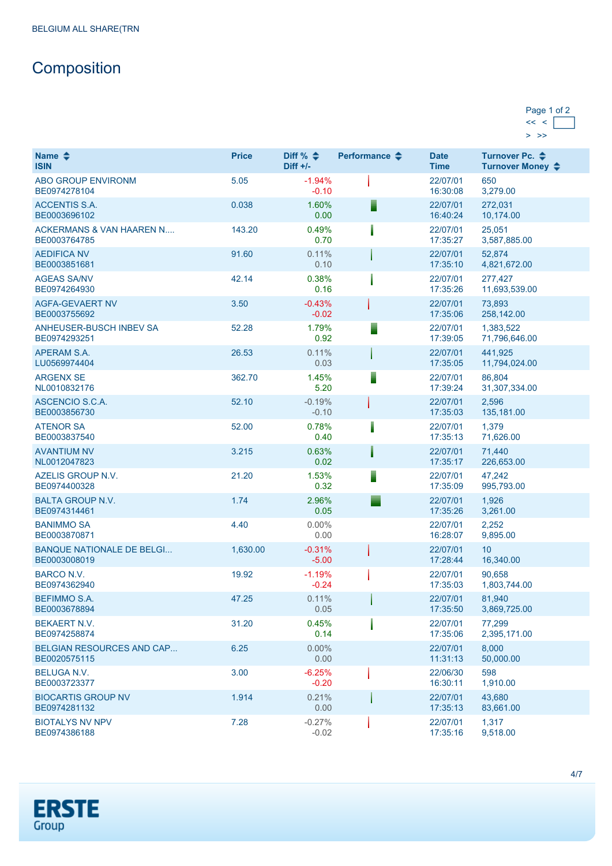# **Composition**

| Page 1 of 2 |  |
|-------------|--|
|             |  |
|             |  |

| Name $\triangle$<br><b>ISIN</b>                     | <b>Price</b> | Diff % $\triangleq$<br>$Diff +/-$ | Performance $\clubsuit$ | <b>Date</b><br><b>Time</b> | Turnover Pc. ♦<br>Turnover Money ♦ |
|-----------------------------------------------------|--------------|-----------------------------------|-------------------------|----------------------------|------------------------------------|
| <b>ABO GROUP ENVIRONM</b><br>BE0974278104           | 5.05         | $-1.94%$<br>$-0.10$               |                         | 22/07/01<br>16:30:08       | 650<br>3,279.00                    |
| <b>ACCENTIS S.A.</b><br>BE0003696102                | 0.038        | 1.60%<br>0.00                     |                         | 22/07/01<br>16:40:24       | 272,031<br>10,174.00               |
| <b>ACKERMANS &amp; VAN HAAREN N</b><br>BE0003764785 | 143.20       | 0.49%<br>0.70                     |                         | 22/07/01<br>17:35:27       | 25,051<br>3,587,885.00             |
| <b>AEDIFICA NV</b><br>BE0003851681                  | 91.60        | 0.11%<br>0.10                     |                         | 22/07/01<br>17:35:10       | 52,874<br>4,821,672.00             |
| <b>AGEAS SA/NV</b><br>BE0974264930                  | 42.14        | 0.38%<br>0.16                     |                         | 22/07/01<br>17:35:26       | 277,427<br>11,693,539.00           |
| <b>AGFA-GEVAERT NV</b><br>BE0003755692              | 3.50         | $-0.43%$<br>$-0.02$               |                         | 22/07/01<br>17:35:06       | 73,893<br>258,142.00               |
| ANHEUSER-BUSCH INBEV SA<br>BE0974293251             | 52.28        | 1.79%<br>0.92                     |                         | 22/07/01<br>17:39:05       | 1,383,522<br>71,796,646.00         |
| APERAM S.A.<br>LU0569974404                         | 26.53        | 0.11%<br>0.03                     |                         | 22/07/01<br>17:35:05       | 441,925<br>11,794,024.00           |
| <b>ARGENX SE</b><br>NL0010832176                    | 362.70       | 1.45%<br>5.20                     |                         | 22/07/01<br>17:39:24       | 86,804<br>31,307,334.00            |
| ASCENCIO S.C.A.<br>BE0003856730                     | 52.10        | $-0.19%$<br>$-0.10$               |                         | 22/07/01<br>17:35:03       | 2,596<br>135,181.00                |
| <b>ATENOR SA</b><br>BE0003837540                    | 52.00        | 0.78%<br>0.40                     |                         | 22/07/01<br>17:35:13       | 1,379<br>71,626.00                 |
| <b>AVANTIUM NV</b><br>NL0012047823                  | 3.215        | 0.63%<br>0.02                     |                         | 22/07/01<br>17:35:17       | 71,440<br>226,653.00               |
| AZELIS GROUP N.V.<br>BE0974400328                   | 21.20        | 1.53%<br>0.32                     |                         | 22/07/01<br>17:35:09       | 47,242<br>995,793.00               |
| <b>BALTA GROUP N.V.</b><br>BE0974314461             | 1.74         | 2.96%<br>0.05                     |                         | 22/07/01<br>17:35:26       | 1,926<br>3,261.00                  |
| <b>BANIMMO SA</b><br>BE0003870871                   | 4.40         | $0.00\%$<br>0.00                  |                         | 22/07/01<br>16:28:07       | 2,252<br>9,895.00                  |
| <b>BANQUE NATIONALE DE BELGI</b><br>BE0003008019    | 1,630.00     | $-0.31%$<br>$-5.00$               |                         | 22/07/01<br>17:28:44       | 10<br>16,340.00                    |
| <b>BARCO N.V.</b><br>BE0974362940                   | 19.92        | $-1.19%$<br>$-0.24$               |                         | 22/07/01<br>17:35:03       | 90.658<br>1,803,744.00             |
| <b>BEFIMMO S.A.</b><br>BE0003678894                 | 47.25        | 0.11%<br>0.05                     |                         | 22/07/01<br>17:35:50       | 81.940<br>3,869,725.00             |
| <b>BEKAERT N.V.</b><br>BE0974258874                 | 31.20        | 0.45%<br>0.14                     |                         | 22/07/01<br>17:35:06       | 77,299<br>2,395,171.00             |
| <b>BELGIAN RESOURCES AND CAP</b><br>BE0020575115    | 6.25         | $0.00\%$<br>0.00                  |                         | 22/07/01<br>11:31:13       | 8,000<br>50,000.00                 |
| <b>BELUGA N.V.</b><br>BE0003723377                  | 3.00         | $-6.25%$<br>$-0.20$               |                         | 22/06/30<br>16:30:11       | 598<br>1,910.00                    |
| <b>BIOCARTIS GROUP NV</b><br>BE0974281132           | 1.914        | 0.21%<br>0.00                     |                         | 22/07/01<br>17:35:13       | 43,680<br>83,661.00                |
| <b>BIOTALYS NV NPV</b><br>BE0974386188              | 7.28         | $-0.27%$<br>$-0.02$               |                         | 22/07/01<br>17:35:16       | 1,317<br>9,518.00                  |

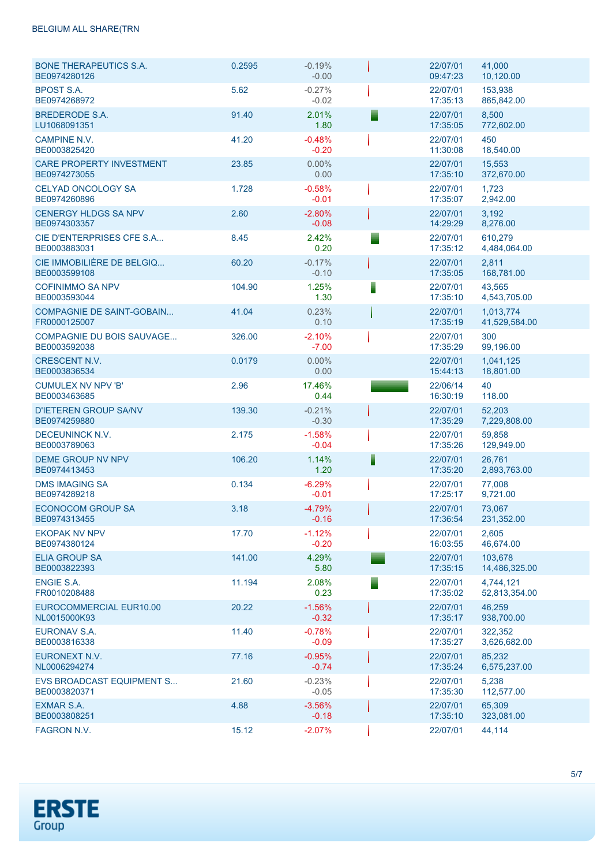#### BELGIUM ALL SHARE(TRN

| <b>BONE THERAPEUTICS S.A.</b><br>BE0974280126    | 0.2595 | $-0.19%$<br>$-0.00$ |   | 22/07/01<br>09:47:23 | 41,000<br>10,120.00        |
|--------------------------------------------------|--------|---------------------|---|----------------------|----------------------------|
| <b>BPOST S.A.</b><br>BE0974268972                | 5.62   | $-0.27%$<br>$-0.02$ |   | 22/07/01<br>17:35:13 | 153.938<br>865,842.00      |
| BREDERODE S.A.<br>LU1068091351                   | 91.40  | 2.01%<br>1.80       |   | 22/07/01<br>17:35:05 | 8,500<br>772,602.00        |
| <b>CAMPINE N.V.</b><br>BE0003825420              | 41.20  | $-0.48%$<br>$-0.20$ |   | 22/07/01<br>11:30:08 | 450<br>18,540.00           |
| <b>CARE PROPERTY INVESTMENT</b><br>BE0974273055  | 23.85  | $0.00\%$<br>0.00    |   | 22/07/01<br>17:35:10 | 15,553<br>372,670.00       |
| CELYAD ONCOLOGY SA<br>BE0974260896               | 1.728  | $-0.58%$<br>$-0.01$ |   | 22/07/01<br>17:35:07 | 1,723<br>2,942.00          |
| <b>CENERGY HLDGS SA NPV</b><br>BE0974303357      | 2.60   | $-2.80%$<br>$-0.08$ |   | 22/07/01<br>14:29:29 | 3,192<br>8,276.00          |
| CIE D'ENTERPRISES CFE S.A<br>BE0003883031        | 8.45   | 2.42%<br>0.20       |   | 22/07/01<br>17:35:12 | 610,279<br>4,484,064.00    |
| CIE IMMOBILIÈRE DE BELGIQ<br>BE0003599108        | 60.20  | $-0.17%$<br>$-0.10$ |   | 22/07/01<br>17:35:05 | 2,811<br>168,781.00        |
| <b>COFINIMMO SA NPV</b><br>BE0003593044          | 104.90 | 1.25%<br>1.30       |   | 22/07/01<br>17:35:10 | 43,565<br>4,543,705.00     |
| <b>COMPAGNIE DE SAINT-GOBAIN</b><br>FR0000125007 | 41.04  | 0.23%<br>0.10       |   | 22/07/01<br>17:35:19 | 1,013,774<br>41,529,584.00 |
| <b>COMPAGNIE DU BOIS SAUVAGE</b><br>BE0003592038 | 326.00 | $-2.10%$<br>$-7.00$ |   | 22/07/01<br>17:35:29 | 300<br>99,196.00           |
| <b>CRESCENT N.V.</b><br>BE0003836534             | 0.0179 | 0.00%<br>0.00       |   | 22/07/01<br>15:44:13 | 1,041,125<br>18,801.00     |
| <b>CUMULEX NV NPV 'B'</b><br>BE0003463685        | 2.96   | 17.46%<br>0.44      |   | 22/06/14<br>16:30:19 | 40<br>118.00               |
| <b>D'IETEREN GROUP SA/NV</b><br>BE0974259880     | 139.30 | $-0.21%$<br>$-0.30$ |   | 22/07/01<br>17:35:29 | 52,203<br>7,229,808.00     |
| DECEUNINCK N.V.<br>BE0003789063                  | 2.175  | $-1.58%$<br>$-0.04$ |   | 22/07/01<br>17:35:26 | 59,858<br>129,949.00       |
| <b>DEME GROUP NV NPV</b><br>BE0974413453         | 106.20 | 1.14%<br>1.20       | Ī | 22/07/01<br>17:35:20 | 26,761<br>2,893,763.00     |
| <b>DMS IMAGING SA</b><br>BE0974289218            | 0.134  | $-6.29%$<br>$-0.01$ |   | 22/07/01<br>17:25:17 | 77.008<br>9,721.00         |
| <b>ECONOCOM GROUP SA</b><br>BE0974313455         | 3.18   | $-4.79%$<br>$-0.16$ |   | 22/07/01<br>17:36:54 | 73.067<br>231,352.00       |
| <b>EKOPAK NV NPV</b><br>BE0974380124             | 17.70  | $-1.12%$<br>$-0.20$ |   | 22/07/01<br>16:03:55 | 2,605<br>46,674.00         |
| ELIA GROUP SA<br>BE0003822393                    | 141.00 | 4.29%<br>5.80       |   | 22/07/01<br>17:35:15 | 103,678<br>14,486,325.00   |
| ENGIE S.A.<br>FR0010208488                       | 11.194 | 2.08%<br>0.23       |   | 22/07/01<br>17:35:02 | 4,744,121<br>52,813,354.00 |
| EUROCOMMERCIAL EUR10.00<br>NL0015000K93          | 20.22  | $-1.56%$<br>$-0.32$ |   | 22/07/01<br>17:35:17 | 46,259<br>938,700.00       |
| <b>EURONAV S.A.</b><br>BE0003816338              | 11.40  | $-0.78%$<br>$-0.09$ |   | 22/07/01<br>17:35:27 | 322,352<br>3,626,682.00    |
| EURONEXT N.V.<br>NL0006294274                    | 77.16  | $-0.95%$<br>$-0.74$ |   | 22/07/01<br>17:35:24 | 85,232<br>6,575,237.00     |
| <b>EVS BROADCAST EQUIPMENT S</b><br>BE0003820371 | 21.60  | $-0.23%$<br>$-0.05$ |   | 22/07/01<br>17:35:30 | 5,238<br>112,577.00        |
| EXMAR S.A.<br>BE0003808251                       | 4.88   | $-3.56%$<br>$-0.18$ |   | 22/07/01<br>17:35:10 | 65,309<br>323,081.00       |
| FAGRON N.V.                                      | 15.12  | $-2.07%$            |   | 22/07/01             | 44,114                     |

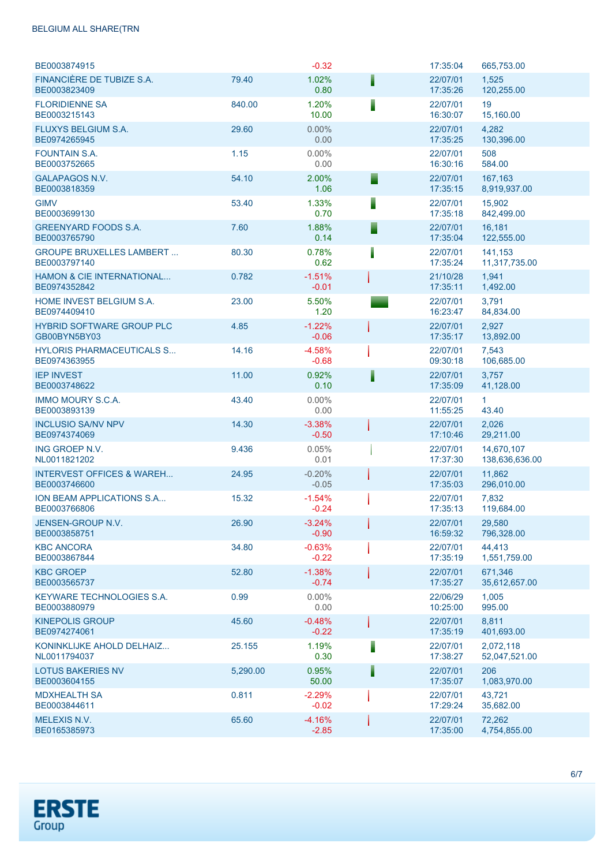#### BELGIUM ALL SHARE(TRN

| BE0003874915                                         |          | $-0.32$             |   | 17:35:04             | 665,753.00                   |
|------------------------------------------------------|----------|---------------------|---|----------------------|------------------------------|
| FINANCIÈRE DE TUBIZE S.A.<br>BE0003823409            | 79.40    | 1.02%<br>0.80       |   | 22/07/01<br>17:35:26 | 1,525<br>120,255.00          |
| <b>FLORIDIENNE SA</b><br>BE0003215143                | 840.00   | 1.20%<br>10.00      |   | 22/07/01<br>16:30:07 | 19<br>15,160.00              |
| <b>FLUXYS BELGIUM S.A.</b><br>BE0974265945           | 29.60    | $0.00\%$<br>0.00    |   | 22/07/01<br>17:35:25 | 4,282<br>130,396.00          |
| <b>FOUNTAIN S.A.</b><br>BE0003752665                 | 1.15     | 0.00%<br>0.00       |   | 22/07/01<br>16:30:16 | 508<br>584.00                |
| <b>GALAPAGOS N.V.</b><br>BE0003818359                | 54.10    | 2.00%<br>1.06       |   | 22/07/01<br>17:35:15 | 167,163<br>8,919,937.00      |
| <b>GIMV</b><br>BE0003699130                          | 53.40    | 1.33%<br>0.70       |   | 22/07/01<br>17:35:18 | 15,902<br>842,499.00         |
| <b>GREENYARD FOODS S.A.</b><br>BE0003765790          | 7.60     | 1.88%<br>0.14       |   | 22/07/01<br>17:35:04 | 16,181<br>122,555.00         |
| <b>GROUPE BRUXELLES LAMBERT</b><br>BE0003797140      | 80.30    | 0.78%<br>0.62       |   | 22/07/01<br>17:35:24 | 141,153<br>11,317,735.00     |
| <b>HAMON &amp; CIE INTERNATIONAL</b><br>BE0974352842 | 0.782    | $-1.51%$<br>$-0.01$ |   | 21/10/28<br>17:35:11 | 1,941<br>1,492.00            |
| HOME INVEST BELGIUM S.A.<br>BE0974409410             | 23.00    | 5.50%<br>1.20       |   | 22/07/01<br>16:23:47 | 3,791<br>84,834.00           |
| <b>HYBRID SOFTWARE GROUP PLC</b><br>GB00BYN5BY03     | 4.85     | $-1.22%$<br>$-0.06$ |   | 22/07/01<br>17:35:17 | 2,927<br>13,892.00           |
| <b>HYLORIS PHARMACEUTICALS S</b><br>BE0974363955     | 14.16    | $-4.58%$<br>$-0.68$ |   | 22/07/01<br>09:30:18 | 7,543<br>106,685.00          |
| <b>IEP INVEST</b><br>BE0003748622                    | 11.00    | 0.92%<br>0.10       | I | 22/07/01<br>17:35:09 | 3,757<br>41,128.00           |
| <b>IMMO MOURY S.C.A.</b><br>BE0003893139             | 43.40    | $0.00\%$<br>0.00    |   | 22/07/01<br>11:55:25 | 1.<br>43.40                  |
| <b>INCLUSIO SA/NV NPV</b><br>BE0974374069            | 14.30    | $-3.38%$<br>$-0.50$ |   | 22/07/01<br>17:10:46 | 2,026<br>29,211.00           |
| ING GROEP N.V.<br>NL0011821202                       | 9.436    | 0.05%<br>0.01       |   | 22/07/01<br>17:37:30 | 14,670,107<br>138,636,636.00 |
| <b>INTERVEST OFFICES &amp; WAREH</b><br>BE0003746600 | 24.95    | $-0.20%$<br>$-0.05$ |   | 22/07/01<br>17:35:03 | 11,862<br>296,010.00         |
| ION BEAM APPLICATIONS S.A<br>BE0003766806            | 15.32    | $-1.54%$<br>$-0.24$ |   | 22/07/01<br>17:35:13 | 7,832<br>119,684.00          |
| JENSEN-GROUP N.V.<br>BE0003858751                    | 26.90    | $-3.24%$<br>$-0.90$ |   | 22/07/01<br>16:59:32 | 29,580<br>796,328.00         |
| <b>KBC ANCORA</b><br>BE0003867844                    | 34.80    | $-0.63%$<br>$-0.22$ |   | 22/07/01<br>17:35:19 | 44,413<br>1,551,759.00       |
| <b>KBC GROEP</b><br>BE0003565737                     | 52.80    | $-1.38%$<br>$-0.74$ |   | 22/07/01<br>17:35:27 | 671.346<br>35,612,657.00     |
| <b>KEYWARE TECHNOLOGIES S.A.</b><br>BE0003880979     | 0.99     | $0.00\%$<br>0.00    |   | 22/06/29<br>10:25:00 | 1,005<br>995.00              |
| <b>KINEPOLIS GROUP</b><br>BE0974274061               | 45.60    | $-0.48%$<br>$-0.22$ |   | 22/07/01<br>17:35:19 | 8,811<br>401,693.00          |
| KONINKLIJKE AHOLD DELHAIZ<br>NL0011794037            | 25.155   | 1.19%<br>0.30       |   | 22/07/01<br>17:38:27 | 2,072,118<br>52,047,521.00   |
| <b>LOTUS BAKERIES NV</b><br>BE0003604155             | 5,290.00 | 0.95%<br>50.00      |   | 22/07/01<br>17:35:07 | 206<br>1,083,970.00          |
| <b>MDXHEALTH SA</b><br>BE0003844611                  | 0.811    | $-2.29%$<br>$-0.02$ |   | 22/07/01<br>17:29:24 | 43,721<br>35,682.00          |
| <b>MELEXIS N.V.</b><br>BE0165385973                  | 65.60    | $-4.16%$<br>$-2.85$ |   | 22/07/01<br>17:35:00 | 72,262<br>4,754,855.00       |